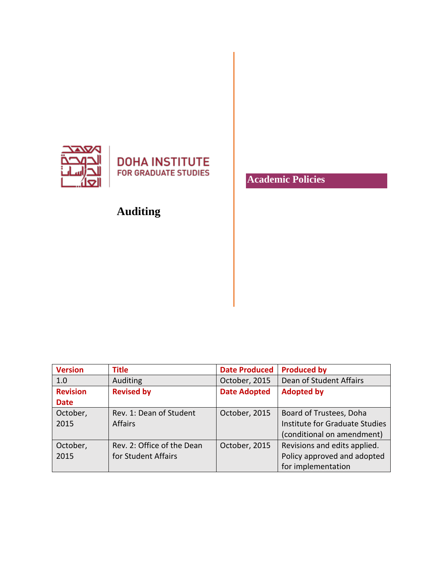

## **DOHA INSTITUTE FOR GRADUATE STUDIES**

# **Auditing**

**Academic Policies**

| <b>Version</b>  | <b>Title</b>               | <b>Date Produced</b> | <b>Produced by</b>             |
|-----------------|----------------------------|----------------------|--------------------------------|
| 1.0             | Auditing                   | October, 2015        | Dean of Student Affairs        |
| <b>Revision</b> | <b>Revised by</b>          | <b>Date Adopted</b>  | <b>Adopted by</b>              |
| <b>Date</b>     |                            |                      |                                |
| October,        | Rev. 1: Dean of Student    | October, 2015        | Board of Trustees, Doha        |
| 2015            | <b>Affairs</b>             |                      | Institute for Graduate Studies |
|                 |                            |                      | (conditional on amendment)     |
| October,        | Rev. 2: Office of the Dean | October, 2015        | Revisions and edits applied.   |
| 2015            | for Student Affairs        |                      | Policy approved and adopted    |
|                 |                            |                      | for implementation             |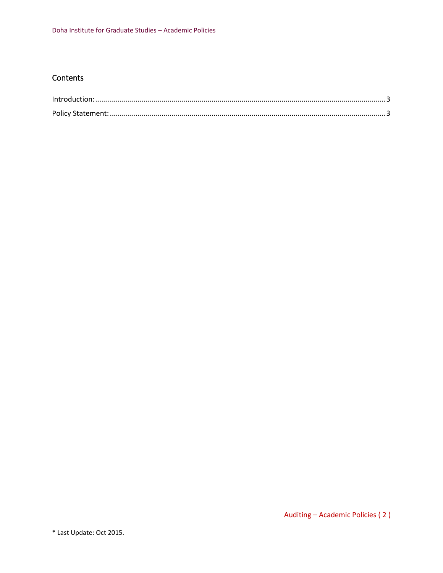### **Contents**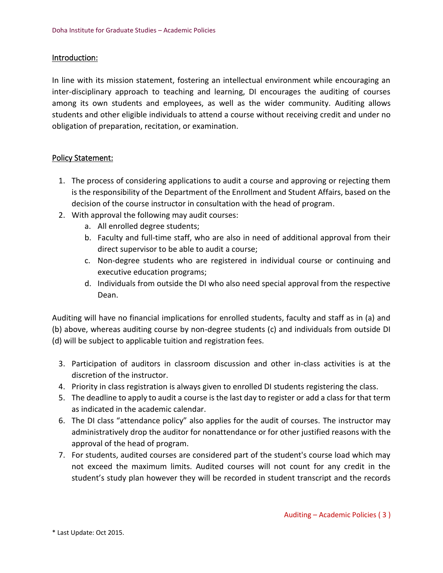#### <span id="page-2-0"></span>Introduction:

In line with its mission statement, fostering an intellectual environment while encouraging an inter-disciplinary approach to teaching and learning, DI encourages the auditing of courses among its own students and employees, as well as the wider community. Auditing allows students and other eligible individuals to attend a course without receiving credit and under no obligation of preparation, recitation, or examination.

### <span id="page-2-1"></span>Policy Statement:

- 1. The process of considering applications to audit a course and approving or rejecting them is the responsibility of the Department of the Enrollment and Student Affairs, based on the decision of the course instructor in consultation with the head of program.
- 2. With approval the following may audit courses:
	- a. All enrolled degree students;
	- b. Faculty and full-time staff, who are also in need of additional approval from their direct supervisor to be able to audit a course;
	- c. Non-degree students who are registered in individual course or continuing and executive education programs;
	- d. Individuals from outside the DI who also need special approval from the respective Dean.

Auditing will have no financial implications for enrolled students, faculty and staff as in (a) and (b) above, whereas auditing course by non-degree students (c) and individuals from outside DI (d) will be subject to applicable tuition and registration fees.

- 3. Participation of auditors in classroom discussion and other in-class activities is at the discretion of the instructor.
- 4. Priority in class registration is always given to enrolled DI students registering the class.
- 5. The deadline to apply to audit a course is the last day to register or add a class for that term as indicated in the academic calendar.
- 6. The DI class "attendance policy" also applies for the audit of courses. The instructor may [administratively drop](http://catalog.arizona.edu/2011-12/policies/classatten.htm) the auditor for nonattendance or for other justified reasons with the approval of the head of program.
- 7. For students, audited courses are considered part of the student's course load which may not exceed the maximum limits. Audited courses will not count for any credit in the student's study plan however they will be recorded in student transcript and the records